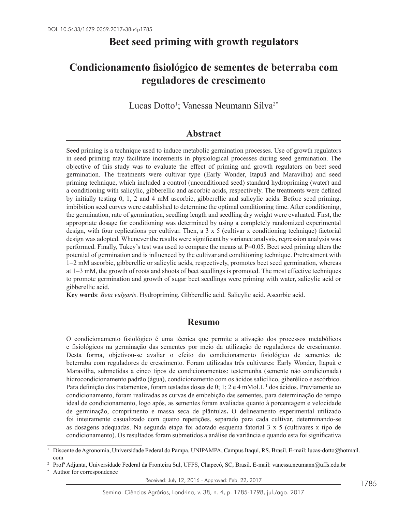# **Beet seed priming with growth regulators**

# **Condicionamento fisiológico de sementes de beterraba com reguladores de crescimento**

Lucas Dotto<sup>1</sup>; Vanessa Neumann Silva<sup>2\*</sup>

## **Abstract**

Seed priming is a technique used to induce metabolic germination processes. Use of growth regulators in seed priming may facilitate increments in physiological processes during seed germination. The objective of this study was to evaluate the effect of priming and growth regulators on beet seed germination. The treatments were cultivar type (Early Wonder, Itapuã and Maravilha) and seed priming technique, which included a control (unconditioned seed) standard hydropriming (water) and a conditioning with salicylic, gibberellic and ascorbic acids, respectively. The treatments were defined by initially testing 0, 1, 2 and 4 mM ascorbic, gibberellic and salicylic acids. Before seed priming, imbibition seed curves were established to determine the optimal conditioning time. After conditioning, the germination, rate of germination, seedling length and seedling dry weight were evaluated. First, the appropriate dosage for conditioning was determined by using a completely randomized experimental design, with four replications per cultivar. Then, a  $3 \times 5$  (cultivar x conditioning technique) factorial design was adopted. Whenever the results were significant by variance analysis, regression analysis was performed. Finally, Tukey's test was used to compare the means at P=0.05. Beet seed priming alters the potential of germination and is influenced by the cultivar and conditioning technique. Pretreatment with 1−2 mM ascorbic, gibberellic or salicylic acids, respectively, promotes beet seed germination, whereas at 1−3 mM, the growth of roots and shoots of beet seedlings is promoted. The most effective techniques to promote germination and growth of sugar beet seedlings were priming with water, salicylic acid or gibberellic acid.

**Key words**: *Beta vulgaris*. Hydropriming. Gibberellic acid. Salicylic acid. Ascorbic acid.

## **Resumo**

O condicionamento fisiológico é uma técnica que permite a ativação dos processos metabólicos e fisiológicos na germinação das sementes por meio da utilização de reguladores de crescimento. Desta forma, objetivou-se avaliar o efeito do condicionamento fisiológico de sementes de beterraba com reguladores de crescimento. Foram utilizadas três cultivares: Early Wonder, Itapuã e Maravilha, submetidas a cinco tipos de condicionamentos: testemunha (semente não condicionada) hidrocondicionamento padrão (água), condicionamento com os ácidos salicílico, giberélico e ascórbico. Para definição dos tratamentos, foram testadas doses de 0; 1; 2 e 4 mMol.L<sup>-1</sup> dos ácidos. Previamente ao condicionamento, foram realizadas as curvas de embebição das sementes, para determinação do tempo ideal de condicionamento, logo após, as sementes foram avaliadas quanto à porcentagem e velocidade de germinação, comprimento e massa seca de plântulas**.** O delineamento experimental utilizado foi inteiramente casualizado com quatro repetições, separado para cada cultivar, determinando-se as dosagens adequadas. Na segunda etapa foi adotado esquema fatorial 3 x 5 (cultivares x tipo de condicionamento). Os resultados foram submetidos a análise de variância e quando esta foi significativa

<sup>2</sup> Profª Adjunta, Universidade Federal da Fronteira Sul, UFFS, Chapecó, SC, Brasil. E-mail: vanessa.neumann@uffs.edu.br

<sup>1</sup> Discente de Agronomia, Universidade Federal do Pampa, UNIPAMPA, Campus Itaqui, RS, Brasil. E-mail: lucas-dotto@hotmail. com

Author for correspondence

Received: July 12, 2016 - Approved: Feb. 22, 2017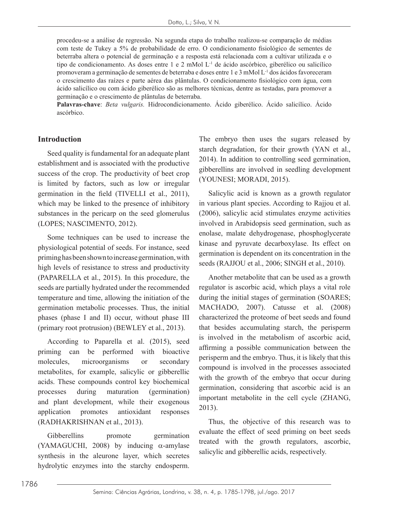procedeu-se a análise de regressão. Na segunda etapa do trabalho realizou-se comparação de médias com teste de Tukey a 5% de probabilidade de erro. O condicionamento fisiológico de sementes de beterraba altera o potencial de germinação e a resposta está relacionada com a cultivar utilizada e o tipo de condicionamento. As doses entre 1 e 2 mMol L-1 de ácido ascórbico, giberélico ou salicílico promoveram a germinação de sementes de beterraba e doses entre 1 e 3 mMol L-1 dos ácidos favoreceram o crescimento das raízes e parte aérea das plântulas. O condicionamento fisiológico com água, com ácido salicílico ou com ácido giberélico são as melhores técnicas, dentre as testadas, para promover a germinação e o crescimento de plântulas de beterraba.

**Palavras-chave**: *Beta vulgaris.* Hidrocondicionamento. Ácido giberélico. Ácido salicílico. Ácido ascórbico.

#### **Introduction**

Seed quality is fundamental for an adequate plant establishment and is associated with the productive success of the crop. The productivity of beet crop is limited by factors, such as low or irregular germination in the field (TIVELLI et al., 2011), which may be linked to the presence of inhibitory substances in the pericarp on the seed glomerulus (LOPES; NASCIMENTO, 2012).

Some techniques can be used to increase the physiological potential of seeds. For instance, seed priming has been shown to increase germination, with high levels of resistance to stress and productivity (PAPARELLA et al., 2015). In this procedure, the seeds are partially hydrated under the recommended temperature and time, allowing the initiation of the germination metabolic processes. Thus, the initial phases (phase I and II) occur, without phase III (primary root protrusion) (BEWLEY et al., 2013).

According to Paparella et al. (2015), seed priming can be performed with bioactive molecules, microorganisms or secondary metabolites, for example, salicylic or gibberellic acids. These compounds control key biochemical processes during maturation (germination) and plant development, while their exogenous application promotes antioxidant responses (RADHAKRISHNAN et al., 2013).

Gibberellins promote germination (YAMAGUCHI, 2008) by inducing  $\alpha$ -amylase synthesis in the aleurone layer, which secretes hydrolytic enzymes into the starchy endosperm.

The embryo then uses the sugars released by starch degradation, for their growth (YAN et al., 2014). In addition to controlling seed germination, gibberellins are involved in seedling development (YOUNESI; MORADI, 2015).

Salicylic acid is known as a growth regulator in various plant species. According to Rajjou et al. (2006), salicylic acid stimulates enzyme activities involved in Arabidopsis seed germination, such as enolase, malate dehydrogenase, phosphoglycerate kinase and pyruvate decarboxylase. Its effect on germination is dependent on its concentration in the seeds (RAJJOU et al., 2006; SINGH et al., 2010).

Another metabolite that can be used as a growth regulator is ascorbic acid, which plays a vital role during the initial stages of germination (SOARES; MACHADO, 2007). Catusse et al. (2008) characterized the proteome of beet seeds and found that besides accumulating starch, the perisperm is involved in the metabolism of ascorbic acid, affirming a possible communication between the perisperm and the embryo. Thus, it is likely that this compound is involved in the processes associated with the growth of the embryo that occur during germination, considering that ascorbic acid is an important metabolite in the cell cycle (ZHANG, 2013).

Thus, the objective of this research was to evaluate the effect of seed priming on beet seeds treated with the growth regulators, ascorbic, salicylic and gibberellic acids, respectively.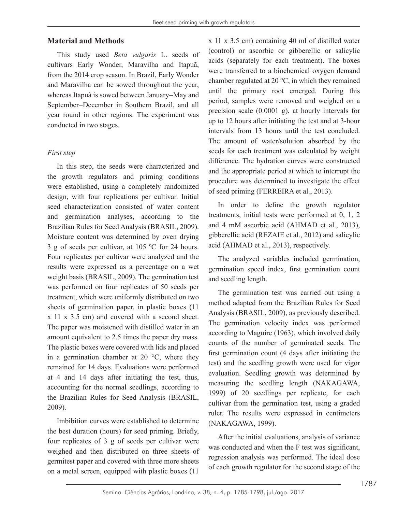#### **Material and Methods**

This study used *Beta vulgaris* L. seeds of cultivars Early Wonder, Maravilha and Itapuã, from the 2014 crop season. In Brazil, Early Wonder and Maravilha can be sowed throughout the year, whereas Itapuã is sowed between January−May and September−December in Southern Brazil, and all year round in other regions. The experiment was conducted in two stages.

#### *First step*

In this step, the seeds were characterized and the growth regulators and priming conditions were established, using a completely randomized design, with four replications per cultivar. Initial seed characterization consisted of water content and germination analyses, according to the Brazilian Rules for Seed Analysis (BRASIL, 2009). Moisture content was determined by oven drying 3 g of seeds per cultivar, at 105 ºC for 24 hours. Four replicates per cultivar were analyzed and the results were expressed as a percentage on a wet weight basis (BRASIL, 2009). The germination test was performed on four replicates of 50 seeds per treatment, which were uniformly distributed on two sheets of germination paper, in plastic boxes (11 x 11 x 3.5 cm) and covered with a second sheet. The paper was moistened with distilled water in an amount equivalent to 2.5 times the paper dry mass. The plastic boxes were covered with lids and placed in a germination chamber at 20 °C, where they remained for 14 days. Evaluations were performed at 4 and 14 days after initiating the test, thus, accounting for the normal seedlings, according to the Brazilian Rules for Seed Analysis (BRASIL, 2009).

Imbibition curves were established to determine the best duration (hours) for seed priming. Briefly, four replicates of 3 g of seeds per cultivar were weighed and then distributed on three sheets of germitest paper and covered with three more sheets on a metal screen, equipped with plastic boxes (11

x 11 x 3.5 cm) containing 40 ml of distilled water (control) or ascorbic or gibberellic or salicylic acids (separately for each treatment). The boxes were transferred to a biochemical oxygen demand chamber regulated at 20 °C, in which they remained until the primary root emerged. During this period, samples were removed and weighed on a precision scale (0.0001 g), at hourly intervals for up to 12 hours after initiating the test and at 3-hour intervals from 13 hours until the test concluded. The amount of water/solution absorbed by the seeds for each treatment was calculated by weight difference. The hydration curves were constructed and the appropriate period at which to interrupt the procedure was determined to investigate the effect of seed priming (FERREIRA et al., 2013).

In order to define the growth regulator treatments, initial tests were performed at 0, 1, 2 and 4 mM ascorbic acid (AHMAD et al., 2013), gibberellic acid (REZAIE et al., 2012) and salicylic acid (AHMAD et al., 2013), respectively.

The analyzed variables included germination, germination speed index, first germination count and seedling length.

The germination test was carried out using a method adapted from the Brazilian Rules for Seed Analysis (BRASIL, 2009), as previously described. The germination velocity index was performed according to Maguire (1963), which involved daily counts of the number of germinated seeds. The first germination count (4 days after initiating the test) and the seedling growth were used for vigor evaluation. Seedling growth was determined by measuring the seedling length (NAKAGAWA, 1999) of 20 seedlings per replicate, for each cultivar from the germination test, using a graded ruler. The results were expressed in centimeters (NAKAGAWA, 1999).

After the initial evaluations, analysis of variance was conducted and when the F test was significant, regression analysis was performed. The ideal dose of each growth regulator for the second stage of the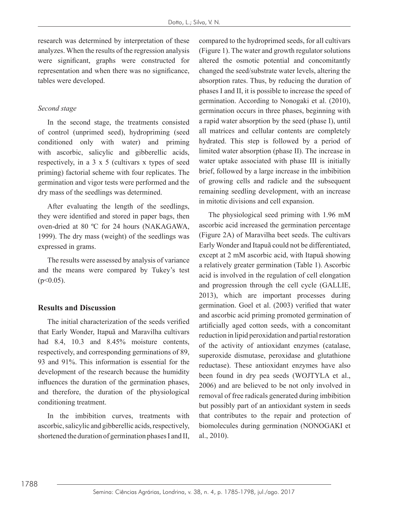research was determined by interpretation of these analyzes. When the results of the regression analysis were significant, graphs were constructed for representation and when there was no significance, tables were developed.

### *Second stage*

In the second stage, the treatments consisted of control (unprimed seed), hydropriming (seed conditioned only with water) and priming with ascorbic, salicylic and gibberellic acids, respectively, in a 3 x 5 (cultivars x types of seed priming) factorial scheme with four replicates. The germination and vigor tests were performed and the dry mass of the seedlings was determined.

After evaluating the length of the seedlings, they were identified and stored in paper bags, then oven-dried at 80 ºC for 24 hours (NAKAGAWA, 1999). The dry mass (weight) of the seedlings was expressed in grams.

The results were assessed by analysis of variance and the means were compared by Tukey's test  $(p<0.05)$ .

### **Results and Discussion**

The initial characterization of the seeds verified that Early Wonder, Itapuã and Maravilha cultivars had 8.4, 10.3 and 8.45% moisture contents, respectively, and corresponding germinations of 89, 93 and 91%. This information is essential for the development of the research because the humidity influences the duration of the germination phases, and therefore, the duration of the physiological conditioning treatment.

In the imbibition curves, treatments with ascorbic, salicylic and gibberellic acids, respectively, shortened the duration of germination phases I and II, compared to the hydroprimed seeds, for all cultivars (Figure 1). The water and growth regulator solutions altered the osmotic potential and concomitantly changed the seed/substrate water levels, altering the absorption rates. Thus, by reducing the duration of phases I and II, it is possible to increase the speed of germination. According to Nonogaki et al. (2010), germination occurs in three phases, beginning with a rapid water absorption by the seed (phase I), until all matrices and cellular contents are completely hydrated. This step is followed by a period of limited water absorption (phase II). The increase in water uptake associated with phase III is initially brief, followed by a large increase in the imbibition of growing cells and radicle and the subsequent remaining seedling development, with an increase in mitotic divisions and cell expansion.

The physiological seed priming with 1.96 mM ascorbic acid increased the germination percentage (Figure 2A) of Maravilha beet seeds. The cultivars Early Wonder and Itapuã could not be differentiated, except at 2 mM ascorbic acid, with Itapuã showing a relatively greater germination (Table 1). Ascorbic acid is involved in the regulation of cell elongation and progression through the cell cycle (GALLIE, 2013), which are important processes during germination. Goel et al. (2003) verified that water and ascorbic acid priming promoted germination of artificially aged cotton seeds, with a concomitant reduction in lipid peroxidation and partial restoration of the activity of antioxidant enzymes (catalase, superoxide dismutase, peroxidase and glutathione reductase). These antioxidant enzymes have also been found in dry pea seeds (WOJTYLA et al., 2006) and are believed to be not only involved in removal of free radicals generated during imbibition but possibly part of an antioxidant system in seeds that contributes to the repair and protection of biomolecules during germination (NONOGAKI et al., 2010).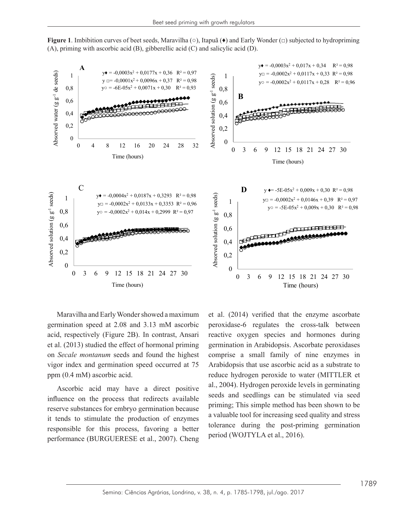Figure 1. Imbibition curves of beet seeds, Maravilha ( $\circ$ ), Itapuã ( $\bullet$ ) and Early Wonder ( $\Box$ ) subjected to hydropriming (A), priming with ascorbic acid (B), gibberellic acid (C) and salicylic acid (D). **higure 1.** Implicatives of beet seeds, matavima  $(\vee)$ , happa  $(\vee)$  and early women  $(\perp)$  subjected (A), given with ascorbic acid (D). The salid (C) and salice licensid (D).



on *Secale montanum* seeds and found the highest Maravilha and Early Wonder showed a maximum germination speed at 2.08 and 3.13 mM ascorbic acid, respectively (Figure 2B). In contrast, Ansari et al. (2013) studied the effect of hormonal priming vigor index and germination speed occurred at 75 ppm (0.4 mM) ascorbic acid.

the responsible for any process, favoring a setter period (WOJTYLA et al., 2016). Ascorbic acid may have a direct positive influence on the process that redirects available responsible for this process, favoring a better performance (BURGUERESE et al., 2007). Cheng

 $\frac{1}{2}$  and  $\frac{1}{2}$  and  $\frac{1}{2}$  and  $\frac{1}{2}$  and  $\frac{1}{2}$  and  $\frac{1}{2}$  and  $\frac{1}{2}$  mm associated at  $\frac{1}{2}$  mm associated at  $\frac{1}{2}$  and  $\frac{1}{2}$  and  $\frac{1}{2}$  and  $\frac{1}{2}$  and  $\frac{1}{2}$  and  $\frac{1}{2}$  and acid, respectively (Figure 2B). In contrast, Ansari reactive oxygen species and hormones during et al. (2013) studied the effect of hormonal priming germination in Arabidopsis. Ascorbate peroxidases As the may germanized speed coefficient in the contract process that reduce hydrogen peroxide to water (MITTLER et al. Assorbic, acid may have a direct positive  $al$ , 2004). Hydrogen peroxide levels in germinating influence on the process that redirects available seeds and seedlings can be stimulated via seed reserve substances for embryo germination because permination in simple included has been shown to be it tends to stimulate the production of enzymes a valuable don for includes given quality and subsisted quality and subsisted quality of the past priming communition. et al. (2014) verified that the enzyme ascorbate peroxidase-6 regulates the cross-talk between comprise a small family of nine enzymes in Arabidopsis that use ascorbic acid as a substrate to priming; This simple method has been shown to be a valuable tool for increasing seed quality and stress tolerance during the post-priming germination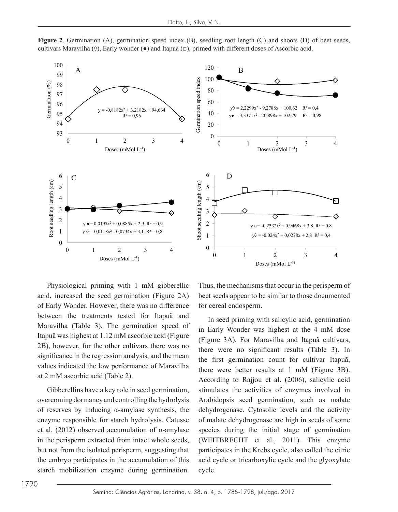

**Figure 2.** Germination (A), germination speed index (B), seedling root length (C) and shoots (D) of beet seeds, cultivars Maravilha (◊), Early wonder (●) and Itapua (□), primed with different doses of Ascorbic acid.

of Early Wonder. However, there was no difference for cereal endosperm. 2B), however, for the other cultivars there was no significance in the regression analysis, and the mean  $\frac{m}{\text{the}}$  first, germination, count, for cultivar. Itan values indicated the low performance of Maravilha  $v_{\text{there}}$  were better results at 1 mM (Figure 3) Physiological priming with 1 mM gibberellic acid, increased the seed germination (Figure 2A) between the treatments tested for Itapuã and Maravilha (Table 3). The germination speed of Itapuã was highest at 1.12 mM ascorbic acid (Figure at 2 mM ascorbic acid (Table 2).

Gibberellins have a key role in seed germination, stimulates the activities of enzymes involved overcoming dormancy and controlling the hydrolysis Arabidopsis seed germination, such as mal of reserves by inducing  $\alpha$ -amylase synthesis, the dehydron. enzyme responsible for starch hydrolysis. Catusse et al. (2012) observed accumulation of α-amylase in the perisperm extracted from intact whole seeds, but not from the isolated perisperm, suggesting that the embryo participates in the accumulation of this starch mobilization enzyme during germination.

he seed germination (Figure 2A) beet seeds appear to be similar to those documented Thus, the mechanisms that occur in the perisperm of for cereal endosperm.

 $T_{\text{S}}$  and  $T_{\text{S}}$  m ascorbing at  $T_{\text{S}}$  m seed priming with salicylic acid, germination  $\frac{1}{2}$  in the regression and the regression and the regression and the mean values in Early Wonder was highest at the 4 mM dose  $\epsilon$  and ascorbic acid (1able 2). According to Rajjou et al. (2006), salicylic acid (Figure 3A). For Maravilha and Itapuã cultivars, there were no significant results (Table 3). In the first germination count for cultivar Itapuã, there were better results at 1 mM (Figure 3B). stimulates the activities of enzymes involved in Arabidopsis seed germination, such as malate dehydrogenase. Cytosolic levels and the activity of malate dehydrogenase are high in seeds of some species during the initial stage of germination (WEITBRECHT et al., 2011). This enzyme participates in the Krebs cycle, also called the citric acid cycle or tricarboxylic cycle and the glyoxylate cycle.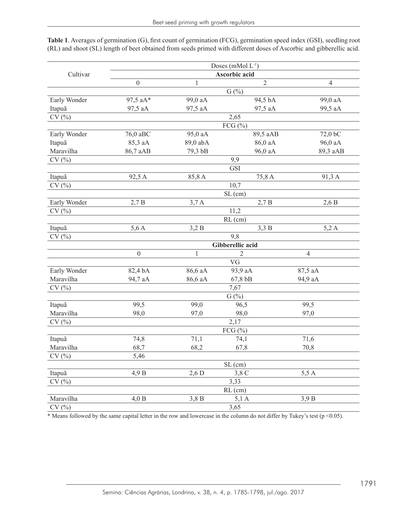|              | Doses (mMol L <sup>-1</sup> ) |              |                    |                |  |  |  |  |
|--------------|-------------------------------|--------------|--------------------|----------------|--|--|--|--|
| Cultivar     |                               |              |                    |                |  |  |  |  |
|              | $\boldsymbol{0}$              | $\mathbf{1}$ | $\overline{2}$     | $\overline{4}$ |  |  |  |  |
|              | G(%)                          |              |                    |                |  |  |  |  |
| Early Wonder | 97,5 aA*                      | 99,0 aA      | 94,5 bA            | 99,0 aA        |  |  |  |  |
| Itapuã       | 97,5 aA                       | 97,5 aA      | 97,5 aA            | 99,5 aA        |  |  |  |  |
| CV(%)        | 2,65                          |              |                    |                |  |  |  |  |
|              | FCG $(\% )$                   |              |                    |                |  |  |  |  |
| Early Wonder | 76,0 aBC                      | 95,0 aA      | 89,5 aAB           | 72,0 bC        |  |  |  |  |
| Itapuã       | 85,3 aA                       | 89,0 abA     | 86,0 aA            | 96,0 aA        |  |  |  |  |
| Maravilha    | 86,7 aAB                      | 79,3 bB      | 96,0 aA            | 89,3 aAB       |  |  |  |  |
| CV(%)        |                               | 9,9          |                    |                |  |  |  |  |
|              |                               | <b>GSI</b>   |                    |                |  |  |  |  |
| Itapuã       | 92,5 A                        | 85,8A        | 75,8 A             | 91,3A          |  |  |  |  |
| CV(%)        |                               | 10,7         |                    |                |  |  |  |  |
|              | $SL$ (cm)                     |              |                    |                |  |  |  |  |
| Early Wonder | 2,7B                          | 3,7A         | 2,7B               | 2,6B           |  |  |  |  |
| $CV($ % $)$  |                               | 11,2         |                    |                |  |  |  |  |
|              |                               | $RL$ (cm)    |                    |                |  |  |  |  |
| Itapuã       | 5,6A                          | 3,2B         | 3,3B               | 5,2A           |  |  |  |  |
| CV(%)        | 9.8                           |              |                    |                |  |  |  |  |
|              | Gibberellic acid              |              |                    |                |  |  |  |  |
|              | $\boldsymbol{0}$              | $\mathbf{1}$ | $\mathfrak{2}$     | $\overline{4}$ |  |  |  |  |
|              |                               | VG           |                    |                |  |  |  |  |
| Early Wonder | 82,4 bA                       | 86,6 aA      | 93,9 aA            | 87,5 aA        |  |  |  |  |
| Maravilha    | 94,7 aA                       | 86,6 aA      | 67,8 bB<br>94,9 aA |                |  |  |  |  |
| CV(%)        | 7,67                          |              |                    |                |  |  |  |  |
|              |                               | G(%)         |                    |                |  |  |  |  |
| Itapuã       | 99,5                          | 99,0         | 96,5               | 99,5           |  |  |  |  |
| Maravilha    | 98,0                          | 97,0         | 98,0               | 97,0           |  |  |  |  |
| CV(%)        | 2,17                          |              |                    |                |  |  |  |  |
|              |                               | FCG $(\% )$  |                    |                |  |  |  |  |
| Itapuã       | 74,8                          | 71,1         | 74,1               | 71,6           |  |  |  |  |
| Maravilha    | 68,7                          | 68,2         | 67,8               | 70,8           |  |  |  |  |
| CV(%)        | 5,46                          |              |                    |                |  |  |  |  |
|              |                               |              | $SL$ (cm)          |                |  |  |  |  |
| Itapuã       | 4,9B                          | $2,6$ D      | 3,8 C              | 5,5A           |  |  |  |  |
| CV(%)        |                               |              | 3,33               |                |  |  |  |  |
|              |                               |              | $RL$ (cm)          |                |  |  |  |  |
| Maravilha    | 4,0 B                         | 3,8B         | 5,1A               | 3,9B           |  |  |  |  |
| CV(%)        |                               |              | 3,65               |                |  |  |  |  |

**Table 1**. Averages of germination (G), first count of germination (FCG), germination speed index (GSI), seedling root (RL) and shoot (SL) length of beet obtained from seeds primed with different doses of Ascorbic and gibberellic acid.

\* Means followed by the same capital letter in the row and lowercase in the column do not differ by Tukey's test (p <0.05).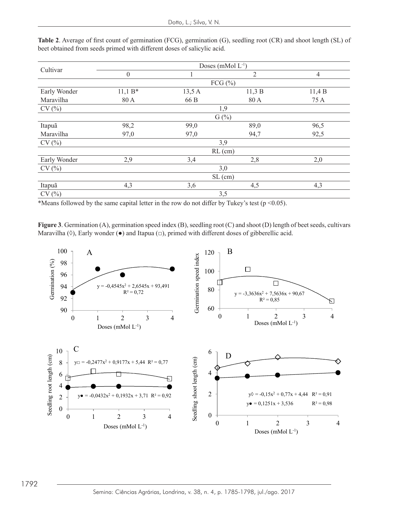| Cultivar     | Doses (mMol $L^{-1}$ ) |                |                |                |  |  |  |
|--------------|------------------------|----------------|----------------|----------------|--|--|--|
|              | $\mathbf{0}$           |                | $\overline{2}$ | $\overline{4}$ |  |  |  |
|              | FCG $(\%)$             |                |                |                |  |  |  |
| Early Wonder | $11,1 B*$              | 11,3B<br>13,5A |                | 11,4B          |  |  |  |
| Maravilha    | 80 A                   | 66 B           | 80 A           | 75 A           |  |  |  |
| CV(%)        | 1,9                    |                |                |                |  |  |  |
|              | $G(\%)$                |                |                |                |  |  |  |
| Itapuã       | 98,2                   | 99,0           | 89,0           | 96,5           |  |  |  |
| Maravilha    | 97,0                   | 97,0           | 94,7           | 92,5           |  |  |  |
| CV(%)        | 3,9                    |                |                |                |  |  |  |
|              | $RL$ (cm)              |                |                |                |  |  |  |
| Early Wonder | 2,9                    | 3,4            | 2,8            | 2,0            |  |  |  |
| CV(%)        | 3,0                    |                |                |                |  |  |  |
|              | $SL$ (cm)              |                |                |                |  |  |  |
| Itapuã       | 4,3                    | 3,6            | 4,5            | 4,3            |  |  |  |
| CV(%)        | 3,5                    |                |                |                |  |  |  |

Table 2. Average of first count of germination (FCG), germination (G), seedling root (CR) and shoot length (SL) of beet obtained from seeds primed with different doses of salicylic acid.

\*Means followed by the same capital letter in the row do not differ by Tukey's test ( $p \le 0.05$ ).  $\frac{M}{\sigma}$  is followed by the same capital letter in the row do not differ by Tukey's test  $(p \sim 0.05)$ .

**Figure 3**. Germination (A), germination speed index (B), seedling root (C) and shoot (D) length of beet seeds, cultivars<br>Magazilla (A), Ferly was dee (a) and Itama (a) minual with different dates of eitherallis acid Maravilha (◊), Early wonder (●) and Itapua (□), primed with different doses of gibberellic acid.

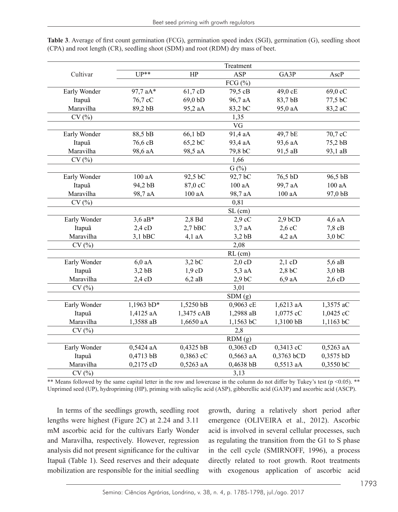|              | Treatment            |            |                  |            |                        |  |  |
|--------------|----------------------|------------|------------------|------------|------------------------|--|--|
| Cultivar     | $UP**$               | HP         | ASP              | GA3P       | AscP                   |  |  |
|              |                      |            | FCG $(\% )$      |            |                        |  |  |
| Early Wonder | 97,7 aA*             | 61,7 cD    | 79,5 cB          | 49,0 cE    | 69,0 cC                |  |  |
| Itapuã       | 76,7 cC              | 69,0 bD    | 96,7 aA          | 83,7 bB    | 77,5 bC                |  |  |
| Maravilha    | 89,2 bB              | 95,2 aA    | 83,2 bC          | 95,0 aA    | 83,2 aC                |  |  |
| CV(%)        | 1,35                 |            |                  |            |                        |  |  |
|              | VG                   |            |                  |            |                        |  |  |
| Early Wonder | 88,5 bB              | 66,1 bD    | 91,4 aA          | 49,7 bE    | 70,7 cC                |  |  |
| Itapuã       | 76,6 cB              | 65,2 bC    | 93,4 aA          | 93,6 aA    | 75,2 bB                |  |  |
| Maravilha    | 98,6 aA              | 98,5 aA    | 79,8 bC          | 91,5 aB    | 93,1 aB                |  |  |
| CV(%)        | 1,66                 |            |                  |            |                        |  |  |
|              | $G(\sqrt[6]{\circ})$ |            |                  |            |                        |  |  |
| Early Wonder | 100 aA               | 92,5 bC    | 92,7 bC          | 76,5 bD    | 96,5 bB                |  |  |
| Itapuã       | 94,2 bB              | 87,0 cC    | 100 aA           | 99,7 aA    | 100 aA                 |  |  |
| Maravilha    | 98,7 aA              | 100 aA     | 98,7 aA          | 100 aA     | 97,0 bB                |  |  |
| CV(%)        | 0,81                 |            |                  |            |                        |  |  |
|              | SL (cm)              |            |                  |            |                        |  |  |
| Early Wonder | $3,6$ aB*            | 2,8 Bd     | $2.9 \text{ cC}$ | $2,9$ bCD  | $4,6$ aA               |  |  |
| Itapuã       | $2,4$ cD             | $2,7$ bBC  | $3,7$ aA         | $2,6$ cC   | $7,8$ cB               |  |  |
| Maravilha    | $3,1$ bBC            | $4,1$ aA   | $3,2$ bB         | $4,2$ aA   | $3,0$ <sub>b</sub> $C$ |  |  |
| CV(%)        | 2,08                 |            |                  |            |                        |  |  |
|              | $RL$ (cm)            |            |                  |            |                        |  |  |
| Early Wonder | $6,0$ aA             | $3,2$ bC   | $2,0$ cD         | $2,1$ cD   | $5,6$ aB               |  |  |
| Itapuã       | $3,2$ bB             | 1.9cD      | $5,3$ aA         | $2,8$ bC   | $3,0$ bB               |  |  |
| Maravilha    | $2,4$ cD             | $6,2$ aB   | $2,9$ bC         | $6,9$ aA   | 2,6cD                  |  |  |
| CV(%)        | 3,01                 |            |                  |            |                        |  |  |
|              |                      |            | SDM(g)           |            |                        |  |  |
| Early Wonder | 1,1963 bD*           | 1,5250 bB  | 0,9063 cE        | 1,6213 aA  | 1,3575 aC              |  |  |
| Itapuã       | 1,4125 aA            | 1,3475 cAB | 1,2988 aB        | 1,0775 cC  | 1,0425 cC              |  |  |
| Maravilha    | 1,3588 aB            | 1,6650 aA  | 1,1563 bC        | 1,3100 bB  | 1,1163 bC              |  |  |
| CV(%)        |                      |            | 2,8              |            |                        |  |  |
|              |                      |            | RDM(g)           |            |                        |  |  |
| Early Wonder | 0,5424 aA            | 0,4325 bB  | 0,3063 cD        | 0,3413 cC  | 0,5263 aA              |  |  |
| Itapuã       | 0,4713 bB            | 0,3863 cC  | 0,5663 aA        | 0,3763 bCD | 0,3575 bD              |  |  |
| Maravilha    | 0,2175 cD            | 0,5263 aA  | 0,4638 bB        | 0,5513 aA  | 0,3550 bC              |  |  |
| CV(%)        |                      |            | 3,13             |            |                        |  |  |

**Table 3**. Average of first count germination (FCG), germination speed index (SGI), germination (G), seedling shoot (CPA) and root length (CR), seedling shoot (SDM) and root (RDM) dry mass of beet.

\*\* Means followed by the same capital letter in the row and lowercase in the column do not differ by Tukey's test (p <0.05). \*\* Unprimed seed (UP), hydropriming (HP), priming with salicylic acid (ASP), gibberellic acid (GA3P) and ascorbic acid (ASCP).

In terms of the seedlings growth, seedling root lengths were highest (Figure 2C) at 2.24 and 3.11 mM ascorbic acid for the cultivars Early Wonder and Maravilha, respectively. However, regression analysis did not present significance for the cultivar Itapuã (Table 1). Seed reserves and their adequate mobilization are responsible for the initial seedling growth, during a relatively short period after emergence (OLIVEIRA et al., 2012). Ascorbic acid is involved in several cellular processes, such as regulating the transition from the G1 to S phase in the cell cycle (SMIRNOFF, 1996), a process directly related to root growth. Root treatments with exogenous application of ascorbic acid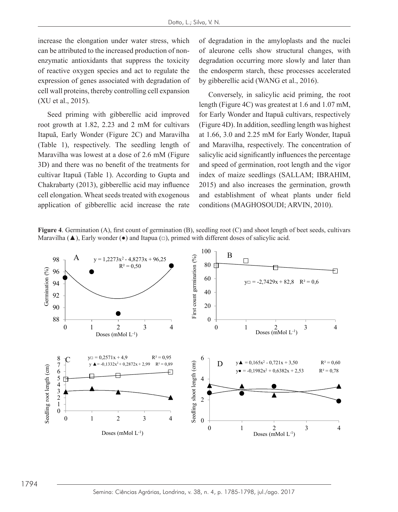increase the elongation under water stress, which can be attributed to the increased production of nonenzymatic antioxidants that suppress the toxicity of reactive oxygen species and act to regulate the the endosperm starch, these processes accelerate expression of genes associated with degradation of by gibberellic acid (WANG et al., 2016). cell wall proteins, thereby controlling cell expansion (XU et al., 2015).  $\frac{C_{\text{C}}}{C_{\text{C}}}\left(1 - \frac{1}{2} \cos \theta\right)$  conversely, in salicylic acid priming, the root

Seed priming with gibberellic acid improved root growth at 1.82, 2.23 and 2 mM for cultivars Itapuã, Early Wonder (Figure 2C) and Maravilha at 1.66, 3.0 and 2.25 mM for E (Table 1), respectively. The seedling length of Maravilha was lowest at a dose of 2.6 mM (Figure salicylic acid significantly influences the percentage 3D) and there was no benefit of the treatments for cultivar Itapuã (Table 1). According to Gupta and Chakrabarty (2013), gibberellic acid may influence 2015) and also increases the germination, grow cell elongation. Wheat seeds treated with exogenous and establishment of wheat plants under fie application of gibberellic acid increase the rate conditions ( 3D) and there was no benefit of the treatments for and speed of germination, root length and the vigor the nuclei of a nuclei of alexandation changes, with degradation of all changes of all changes of and later than later than later than later than later than later than later than later than later than later than later than

of degradation in the amyloplasts and the nuclei of aleurone cells show structural changes, with tic antioxidants that suppress the toxicity degradation occurring more slowly and later than the endosperm starch, these processes accelerated by gibberellic acid (WANG et al., 2016).

(AO et al., 2015). length (Figure 4C) was greatest at 1.6 and 1.07 mM, for Early Wonder and Itapuã cultivars, respectively (Figure 4D). In addition, seedling length was highest at 1.66, 3.0 and 2.25 mM for Early Wonder, Itapuã 1), respectively. The seedling length of and Maravilha, respectively. The concentration of salicylic acid significantly influences the percentage index of maize seedlings (SALLAM; IBRAHIM, 2015) and also increases the germination, growth and establishment of wheat plants under field conditions (MAGHOSOUDI; ARVIN, 2010).

Figure 4. Germination (A), first count of germination (B), seedling root (C) and shoot length of beet seeds, cultivars Maravilha ( $\blacktriangle$ ), Early wonder ( $\blacktriangleright$ ) and Itapua ( $\Box$ ), primed with different doses of salicylic acid.

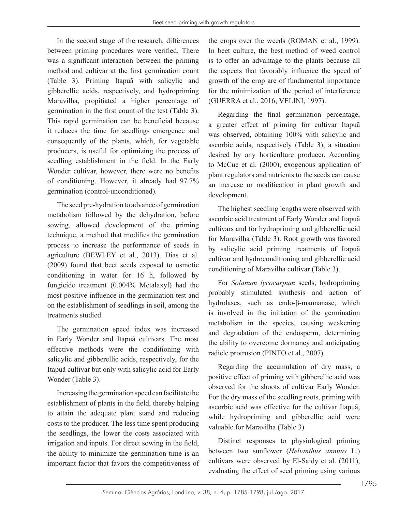In the second stage of the research, differences between priming procedures were verified. There was a significant interaction between the priming method and cultivar at the first germination count (Table 3). Priming Itapuã with salicylic and gibberellic acids, respectively, and hydropriming Maravilha, propitiated a higher percentage of germination in the first count of the test (Table 3). This rapid germination can be beneficial because it reduces the time for seedlings emergence and consequently of the plants, which, for vegetable producers, is useful for optimizing the process of seedling establishment in the field. In the Early Wonder cultivar, however, there were no benefits of conditioning. However, it already had 97.7% germination (control-unconditioned).

The seed pre-hydration to advance of germination metabolism followed by the dehydration, before sowing, allowed development of the priming technique, a method that modifies the germination process to increase the performance of seeds in agriculture (BEWLEY et al., 2013). Dias et al. (2009) found that beet seeds exposed to osmotic conditioning in water for 16 h, followed by fungicide treatment (0.004% Metalaxyl) had the most positive influence in the germination test and on the establishment of seedlings in soil, among the treatments studied.

The germination speed index was increased in Early Wonder and Itapuã cultivars. The most effective methods were the conditioning with salicylic and gibberellic acids, respectively, for the Itapuã cultivar but only with salicylic acid for Early Wonder (Table 3).

Increasing the germination speed can facilitate the establishment of plants in the field, thereby helping to attain the adequate plant stand and reducing costs to the producer. The less time spent producing the seedlings, the lower the costs associated with irrigation and inputs. For direct sowing in the field, the ability to minimize the germination time is an important factor that favors the competitiveness of

the crops over the weeds (ROMAN et al., 1999). In beet culture, the best method of weed control is to offer an advantage to the plants because all the aspects that favorably influence the speed of growth of the crop are of fundamental importance for the minimization of the period of interference (GUERRA et al., 2016; VELINI, 1997).

Regarding the final germination percentage, a greater effect of priming for cultivar Itapuã was observed, obtaining 100% with salicylic and ascorbic acids, respectively (Table 3), a situation desired by any horticulture producer. According to McCue et al. (2000), exogenous application of plant regulators and nutrients to the seeds can cause an increase or modification in plant growth and development.

The highest seedling lengths were observed with ascorbic acid treatment of Early Wonder and Itapuã cultivars and for hydropriming and gibberellic acid for Maravilha (Table 3). Root growth was favored by salicylic acid priming treatments of Itapuã cultivar and hydroconditioning and gibberellic acid conditioning of Maravilha cultivar (Table 3).

For *Solanum lycocarpum* seeds, hydropriming probably stimulated synthesis and action of hydrolases, such as endo-β-mannanase, which is involved in the initiation of the germination metabolism in the species, causing weakening and degradation of the endosperm, determining the ability to overcome dormancy and anticipating radicle protrusion (PINTO et al., 2007).

Regarding the accumulation of dry mass, a positive effect of priming with gibberellic acid was observed for the shoots of cultivar Early Wonder. For the dry mass of the seedling roots, priming with ascorbic acid was effective for the cultivar Itapuã, while hydropriming and gibberellic acid were valuable for Maravilha (Table 3).

Distinct responses to physiological priming between two sunflower (*Helianthus annuus* L.) cultivars were observed by El-Saidy et al. (2011), evaluating the effect of seed priming using various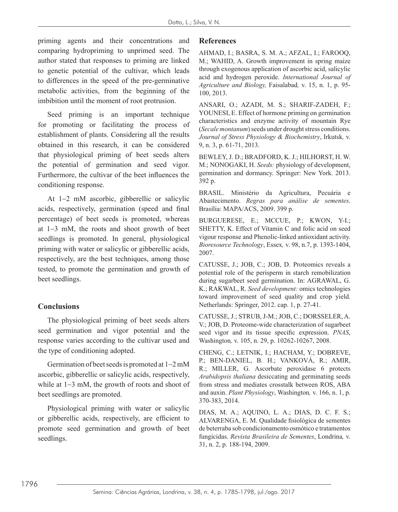priming agents and their concentrations and comparing hydropriming to unprimed seed. The author stated that responses to priming are linked to genetic potential of the cultivar, which leads to differences in the speed of the pre-germinative metabolic activities, from the beginning of the imbibition until the moment of root protrusion.

Seed priming is an important technique for promoting or facilitating the process of establishment of plants. Considering all the results obtained in this research, it can be considered that physiological priming of beet seeds alters the potential of germination and seed vigor. Furthermore, the cultivar of the beet influences the conditioning response.

At 1−2 mM ascorbic, gibberellic or salicylic acids, respectively, germination (speed and final percentage) of beet seeds is promoted, whereas at 1−3 mM, the roots and shoot growth of beet seedlings is promoted. In general, physiological priming with water or salicylic or gibberellic acids, respectively, are the best techniques, among those tested, to promote the germination and growth of beet seedlings.

#### **Conclusions**

The physiological priming of beet seeds alters seed germination and vigor potential and the response varies according to the cultivar used and the type of conditioning adopted.

Germination of beet seeds is promoted at 1−2 mM ascorbic, gibberellic or salicylic acids, respectively, while at 1−3 mM, the growth of roots and shoot of beet seedlings are promoted.

Physiological priming with water or salicylic or gibberellic acids, respectively, are efficient to promote seed germination and growth of beet seedlings.

#### **References**

AHMAD, I.; BASRA, S. M. A.; AFZAL, I.; FAROOQ, M.; WAHID, A. Growth improvement in spring maize through exogenous application of ascorbic acid, salicylic acid and hydrogen peroxide. *International Journal of Agriculture and Biology,* Faisalabad*,* v. 15, n. 1, p. 95- 100, 2013.

ANSARI, O.; AZADI, M. S.; SHARIF-ZADEH, F.; YOUNESI, E. Effect of hormone priming on germination characteristics and enzyme activity of mountain Rye (*Secale montanum*) seeds under drought stress conditions. *Journal of Stress Physiology & Biochemistry*, Irkutsk*,* v. 9, n. 3, p. 61-71, 2013.

BEWLEY, J. D.; BRADFORD, K. J.; HILHORST, H. W. M.; NONOGAKI, H. *Seeds:* physiology of development, germination and dormancy. Springer: New York. 2013. 392 p.

BRASIL. Ministério da Agricultura, Pecuária e Abastecimento. *Regras para análise de sementes*. Brasília: MAPA/ACS, 2009. 399 p.

BURGUERESE, E.; MCCUE, P.; KWON, Y-I.; SHETTY, K. Effect of Vitamin C and folic acid on seed vigour response and Phenolic-linked antioxidant activity. *Bioresource Technology*, Essex*,* v. 98, n.7, p. 1393-1404, 2007.

CATUSSE, J.; JOB, C.; JOB, D. Proteomics reveals a potential role of the perisperm in starch remobilization during sugarbeet seed germination. In: AGRAWAL, G. K.; RAKWAL, R. *Seed development:* omics technologies toward improvement of seed quality and crop yield. Netherlands: Springer, 2012. cap. 1, p. 27-41.

CATUSSE, J.; STRUB, J-M.; JOB, C.; DORSSELER, A. V.; JOB, D. Proteome-wide characterization of sugarbeet seed vigor and its tissue specific expression. *PNAS*, Washington*,* v. 105, n. 29, p. 10262-10267, 2008.

CHENG, C.; LETNIK, I.; HACHAM, Y.; DOBREVE, P.; BEN-DANIEL, B. H.; VANKOVÁ, R.; AMIR, R.; MILLER, G. Ascorbate peroxidase 6 protects *Arabidopsis thaliana* desiccating and germinating seeds from stress and mediates crosstalk between ROS, ABA and auxin. *Plant Physiology*, Washington*,* v. 166, n. 1, p. 370-383, 2014.

DIAS, M. A.; AQUINO, L. A.; DIAS, D. C. F. S.; ALVARENGA, E. M. Qualidade fisiológica de sementes de beterraba sob condicionamento osmótico e tratamentos fungicidas. *Revista Brasileira de Sementes*, Londrina*,* v. 31, n. 2, p. 188-194, 2009.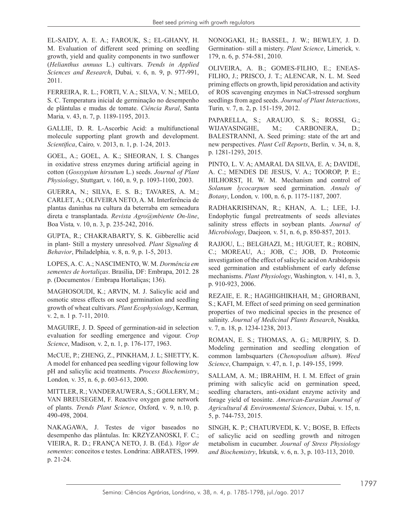EL-SAIDY, A. E. A.; FAROUK, S.; EL-GHANY, H. M. Evaluation of different seed priming on seedling growth, yield and quality components in two sunflower (*Helianthus annuus* L.) cultivars. *Trends in Applied Sciences and Research*, Dubai*,* v. 6, n. 9, p. 977-991, 2011.

FERREIRA, R. L.; FORTI, V. A.; SILVA, V. N.; MELO, S. C. Temperatura inicial de germinação no desempenho de plântulas e mudas de tomate. *Ciência Rural*, Santa Maria*,* v. 43, n. 7, p. 1189-1195, 2013.

GALLIE, D. R. L-Ascorbic Acid: a multifunctional molecule supporting plant growth and development. *Scientifica*, Cairo*,* v. 2013, n. 1, p. 1-24, 2013.

GOEL, A.; GOEL, A. K.; SHEORAN, I. S. Changes in oxidative stress enzymes during artificial ageing in cotton (*Gossypium hirsutum* L.) seeds. *Journal of Plant Physiology*, Stuttgart*,* v. 160, n. 9, p. 1093-1100, 2003.

GUERRA, N.; SILVA, E. S. B.; TAVARES, A. M.; CARLET, A.; OLIVEIRA NETO, A. M. Interferência de plantas daninhas na cultura da beterraba em semeadura direta e transplantada. *Revista Agro@mbiente On-line*, Boa Vista*,* v. 10, n. 3, p. 235-242, 2016.

GUPTA, R.; CHAKRABARTY, S. K. Gibberellic acid in plant- Still a mystery unresolved. *Plant Signaling & Behavior*, Philadelphia*,* v. 8, n. 9, p. 1-5, 2013.

LOPES, A. C. A.; NASCIMENTO, W. M. *Dormência em sementes de hortaliças*. Brasília, DF: Embrapa, 2012. 28 p. (Documentos / Embrapa Hortaliças; 136).

MAGHOSOUDI, K.; ARVIN, M. J. Salicylic acid and osmotic stress effects on seed germination and seedling growth of wheat cultivars. *Plant Ecophysiology*, Kerman*,* v. 2, n. 1 p. 7-11, 2010.

MAGUIRE, J. D. Speed of germination-aid in selection evaluation for seedling emergence and vigour. *Crop Science*, Madison*,* v. 2, n. 1, p. 176-177, 1963.

McCUE, P.; ZHENG, Z., PINKHAM, J. L; SHETTY, K. A model for enhanced pea seedling vigour following low pH and salicylic acid treatments. *Process Biochemistry*, London*,* v. 35, n. 6, p. 603-613, 2000.

MITTLER, R.; VANDERAUWERA, S.; GOLLERY, M.; VAN BREUSEGEM, F. Reactive oxygen gene network of plants. *Trends Plant Science*, Oxford*,* v. 9, n.10, p. 490-498, 2004.

NAKAGAWA, J. Testes de vigor baseados no desempenho das plântulas. In: KRZYZANOSKI, F. C.; VIEIRA, R. D.; FRANÇA NETO, J. B. (Ed.). *Vigor de sementes*: conceitos e testes. Londrina: ABRATES, 1999. p. 21-24.

NONOGAKI, H.; BASSEL, J. W.; BEWLEY, J. D. Germination- still a mistery. *Plant Science*, Limerick*,* v. 179, n. 6, p. 574-581, 2010.

OLIVEIRA, A. B.; GOMES-FILHO, E.; ENEAS-FILHO, J.; PRISCO, J. T.; ALENCAR, N. L. M. Seed priming effects on growth, lipid peroxidation and activity of ROS scavenging enzymes in NaCl-stressed sorghum seedlings from aged seeds. *Journal of Plant Interactions*, Turin*,* v. 7, n. 2, p. 151-159, 2012.

PAPARELLA, S.; ARAUJO, S. S.; ROSSI, G.; WIJAYASINGHE, M.; CARBONERA, D.; BALESTRANNI, A. Seed priming: state of the art and new perspectives. *Plant Cell Reports*, Berlin*,* v. 34, n. 8, p. 1281-1293, 2015.

PINTO, L. V. A; AMARAL DA SILVA, E. A; DAVIDE, A. C.; MENDES DE JESUS, V. A.; TOOROP, P. E.; HILHORST, H. W. M. Mechanism and control of *Solanum lycocarpum* seed germination. *Annals of Botany*, London*,* v. 100, n. 6, p. 1175-1187, 2007.

RADHAKRISHNAN, R.; KHAN, A. L.; LEE, I-J. Endophytic fungal pretreatments of seeds alleviates salinity stress effects in soybean plants. *Journal of Microbiology*, Daejeon*,* v. 51, n. 6, p. 850-857, 2013.

RAJJOU, L.; BELGHAZI, M.; HUGUET, R.; ROBIN, C.; MOREAU, A.; JOB, C.; JOB, D. Proteomic investigation of the effect of salicylic acid on Arabidopsis seed germination and establishment of early defense mechanisms. *Plant Physiology*, Washington*,* v. 141, n. 3, p. 910-923, 2006.

REZAIE, E. R.; HAGHIGHIKHAH, M.; GHORBANI, S.; KAFI, M. Effect of seed priming on seed germination properties of two medicinal species in the presence of salinity. *Journal of Medicinal Plants Research*, Nsukka*,* v. 7, n. 18, p. 1234-1238, 2013.

ROMAN, E. S.; THOMAS, A. G.; MURPHY, S. D. Modeling germination and seedling elongation of common lambsquarters (*Chenopodium album*). *Weed Science*, Champaign*,* v. 47, n. 1, p. 149-155, 1999.

SALLAM, A. M.; IBRAHIM, H. I. M. Effect of grain priming with salicylic acid on germination speed, seedling characters, anti-oxidant enzyme activity and forage yield of teosinte. *American-Eurasian Journal of Agricultural & Environmental Sciences*, Dubai*,* v. 15, n. 5, p. 744-753, 2015.

SINGH, K. P.; CHATURVEDI, K. V.; BOSE, B. Effects of salicylic acid on seedling growth and nitrogen metabolism in cucumber. *Journal of Stress Physiology and Biochemistry*, Irkutsk*,* v. 6, n. 3, p. 103-113, 2010.